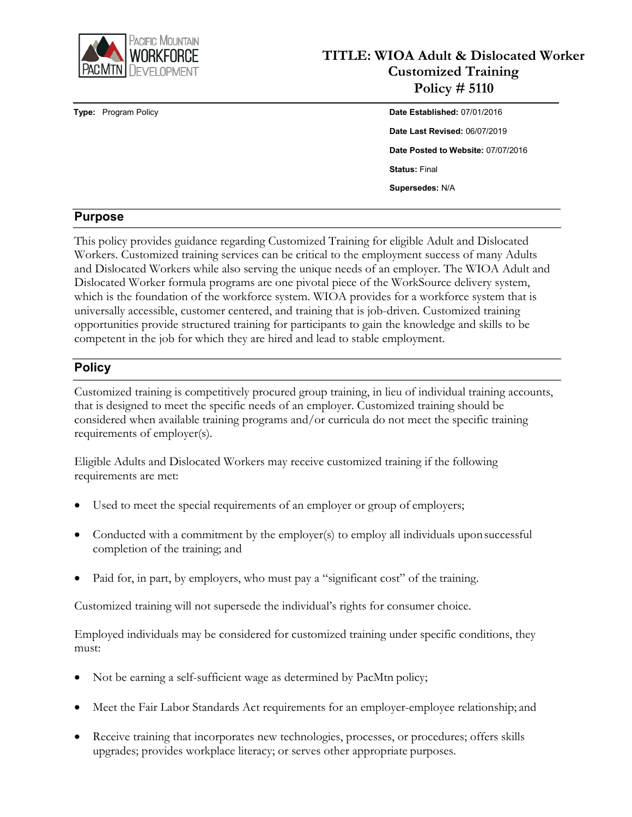

# **TITLE: WIOA Adult & Dislocated Worker Customized Training Policy # 5110**

# **Type:** Program Policy **Date Established:** 07/01/2016 **Date Last Revised:** 06/07/2019 **Date Posted to Website:** 07/07/2016 **Status:** Final **Supersedes:** N/A

# **Purpose**

This policy provides guidance regarding Customized Training for eligible Adult and Dislocated Workers. Customized training services can be critical to the employment success of many Adults and Dislocated Workers while also serving the unique needs of an employer. The WIOA Adult and Dislocated Worker formula programs are one pivotal piece of the WorkSource delivery system, which is the foundation of the workforce system. WIOA provides for a workforce system that is universally accessible, customer centered, and training that is job-driven. Customized training opportunities provide structured training for participants to gain the knowledge and skills to be competent in the job for which they are hired and lead to stable employment.

#### **Policy**

Customized training is competitively procured group training, in lieu of individual training accounts, that is designed to meet the specific needs of an employer. Customized training should be considered when available training programs and/or curricula do not meet the specific training requirements of employer(s).

Eligible Adults and Dislocated Workers may receive customized training if the following requirements are met:

- Used to meet the special requirements of an employer or group of employers;
- Conducted with a commitment by the employer(s) to employ all individuals uponsuccessful completion of the training; and
- Paid for, in part, by employers, who must pay a "significant cost" of the training.

Customized training will not supersede the individual's rights for consumer choice.

Employed individuals may be considered for customized training under specific conditions, they must:

- Not be earning a self-sufficient wage as determined by PacMtn policy;
- Meet the Fair Labor Standards Act requirements for an employer-employee relationship; and
- Receive training that incorporates new technologies, processes, or procedures; offers skills upgrades; provides workplace literacy; or serves other appropriate purposes.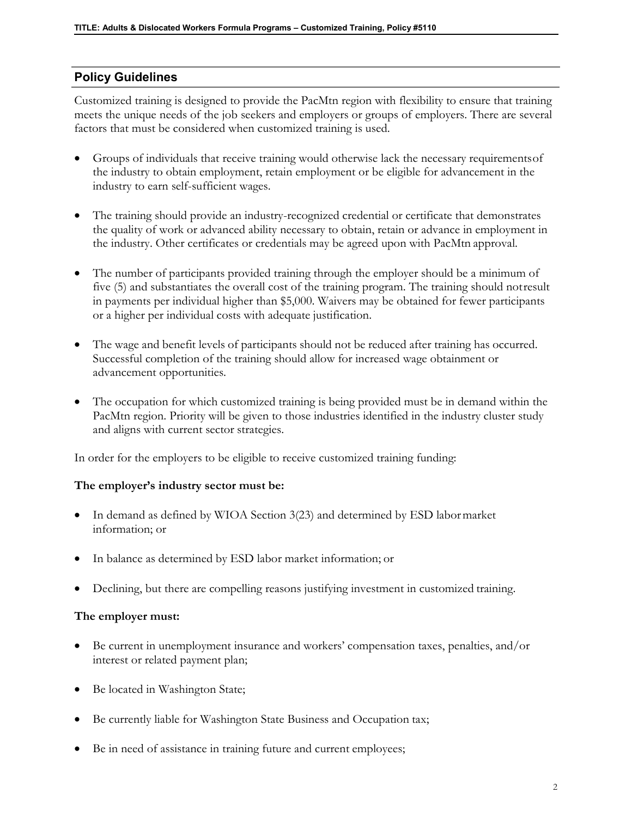# **Policy Guidelines**

Customized training is designed to provide the PacMtn region with flexibility to ensure that training meets the unique needs of the job seekers and employers or groups of employers. There are several factors that must be considered when customized training is used.

- Groups of individuals that receive training would otherwise lack the necessary requirementsof the industry to obtain employment, retain employment or be eligible for advancement in the industry to earn self-sufficient wages.
- The training should provide an industry-recognized credential or certificate that demonstrates the quality of work or advanced ability necessary to obtain, retain or advance in employment in the industry. Other certificates or credentials may be agreed upon with PacMtn approval.
- The number of participants provided training through the employer should be a minimum of five (5) and substantiates the overall cost of the training program. The training should notresult in payments per individual higher than \$5,000. Waivers may be obtained for fewer participants or a higher per individual costs with adequate justification.
- The wage and benefit levels of participants should not be reduced after training has occurred. Successful completion of the training should allow for increased wage obtainment or advancement opportunities.
- The occupation for which customized training is being provided must be in demand within the PacMtn region. Priority will be given to those industries identified in the industry cluster study and aligns with current sector strategies.

In order for the employers to be eligible to receive customized training funding:

#### **The employer's industry sector must be:**

- In demand as defined by WIOA Section 3(23) and determined by ESD labormarket information; or
- In balance as determined by ESD labor market information; or
- Declining, but there are compelling reasons justifying investment in customized training.

#### **The employer must:**

- Be current in unemployment insurance and workers' compensation taxes, penalties, and/or interest or related payment plan;
- Be located in Washington State;
- Be currently liable for Washington State Business and Occupation tax;
- Be in need of assistance in training future and current employees;